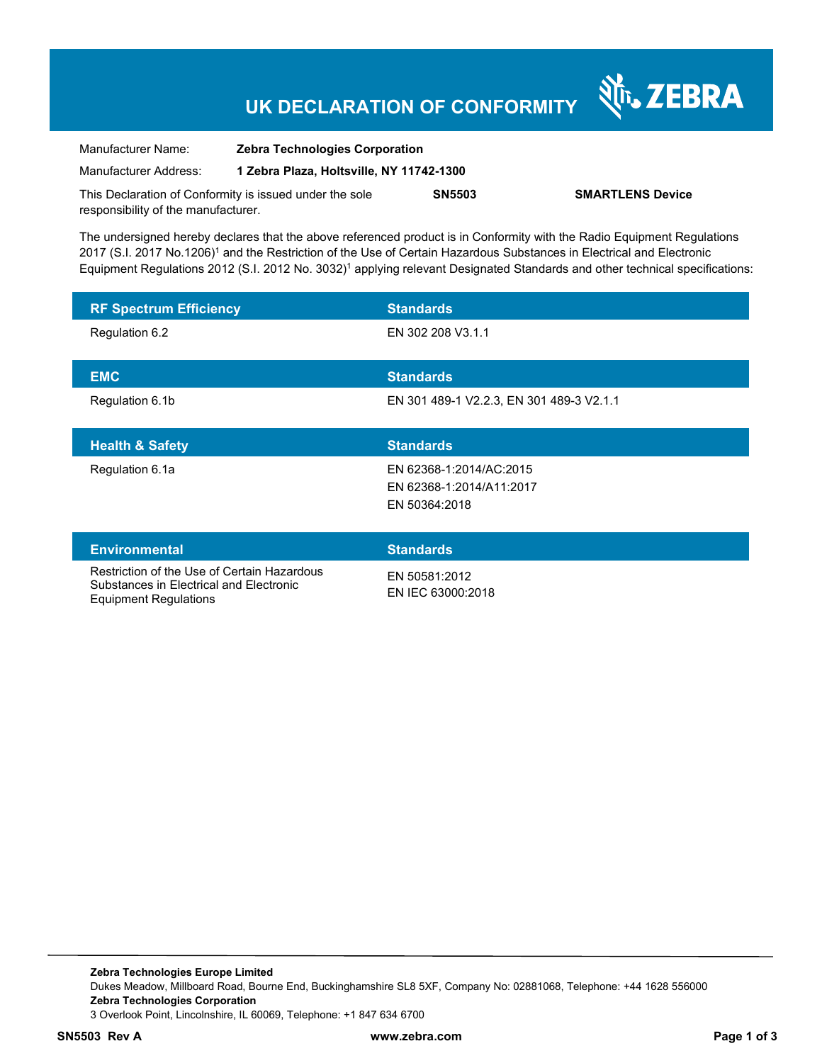## **UK DECLARATION OF CONFORMITY**

श्री<sub>1</sub>, ZEBRA

| Manufacturer Name:                                      | <b>Zebra Technologies Corporation</b>    |               |                         |
|---------------------------------------------------------|------------------------------------------|---------------|-------------------------|
| Manufacturer Address:                                   | 1 Zebra Plaza, Holtsville, NY 11742-1300 |               |                         |
| This Declaration of Conformity is issued under the sole |                                          | <b>SN5503</b> | <b>SMARTLENS Device</b> |
| responsibility of the manufacturer.                     |                                          |               |                         |

The undersigned hereby declares that the above referenced product is in Conformity with the Radio Equipment Regulations 2017 (S.I. 2017 No.1206)<sup>1</sup> and the Restriction of the Use of Certain Hazardous Substances in Electrical and Electronic Equipment Regulations 2012 (S.I. 2012 No. 3032)<sup>1</sup> applying relevant Designated Standards and other technical specifications:

| <b>RF Spectrum Efficiency</b> | <b>Standards</b>                         |
|-------------------------------|------------------------------------------|
| Regulation 6.2                | EN 302 208 V3.1.1                        |
|                               |                                          |
| <b>EMC</b>                    | <b>Standards</b>                         |
| Regulation 6.1b               | EN 301 489-1 V2.2.3, EN 301 489-3 V2.1.1 |
|                               |                                          |
|                               |                                          |
| <b>Health &amp; Safety</b>    | <b>Standards</b>                         |
| Regulation 6.1a               | EN 62368-1:2014/AC:2015                  |
|                               | EN 62368-1:2014/A11:2017                 |
|                               | EN 50364:2018                            |
|                               |                                          |
| <b>Environmental</b>          | <b>Standards</b>                         |

Substances in Electrical and Electronic Equipment Regulations

EN 50581:2012 EN IEC 63000:2018

**Zebra Technologies Europe Limited**  Dukes Meadow, Millboard Road, Bourne End, Buckinghamshire SL8 5XF, Company No: 02881068, Telephone: +44 1628 556000 **Zebra Technologies Corporation**  3 Overlook Point, Lincolnshire, IL 60069, Telephone: +1 847 634 6700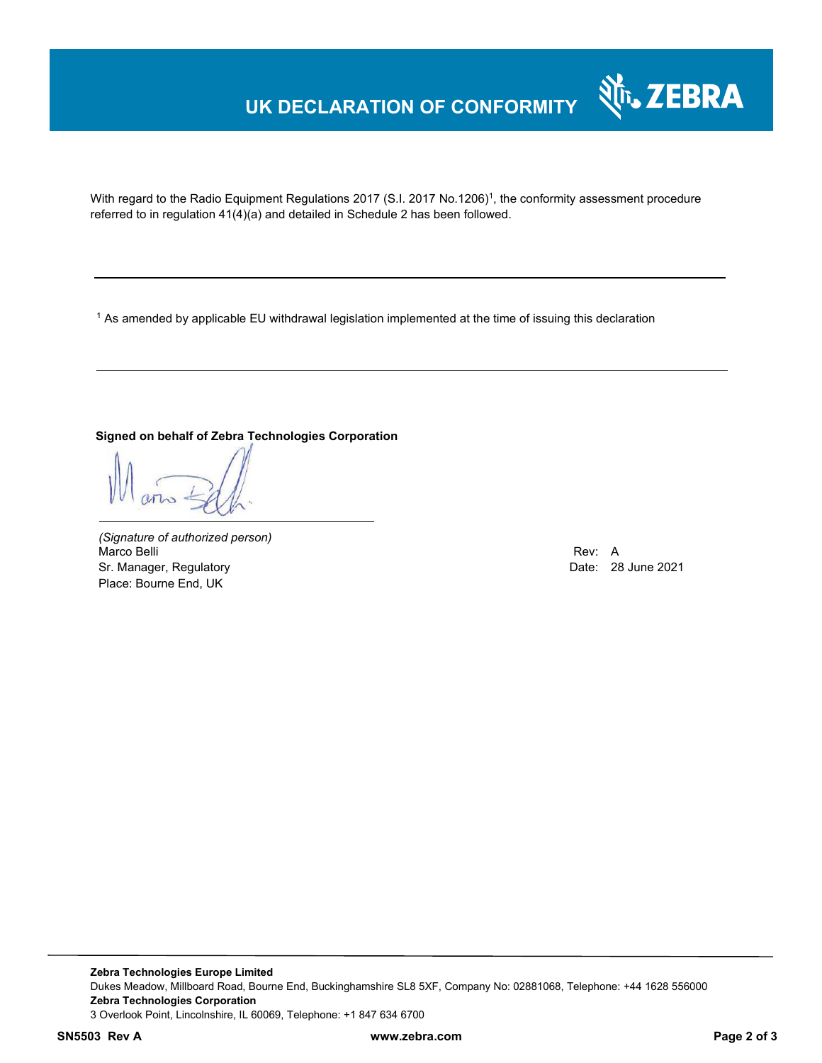## **UK DECLARATION OF CONFORMITY**



With regard to the Radio Equipment Regulations 2017 (S.I. 2017 No.1206)<sup>1</sup>, the conformity assessment procedure referred to in regulation 41(4)(a) and detailed in Schedule 2 has been followed.

 $^{\rm 1}$  As amended by applicable EU withdrawal legislation implemented at the time of issuing this declaration

#### **Signed on behalf of Zebra Technologies Corporation**

*(Signature of authorized person)* Marco Belli Rev: A Annual Rev: A Annual Rev: A Annual Rev: A Annual Rev: A Annual Rev: A Annual Rev: A Annual Rev Sr. Manager, Regulatory **Date: 28 June 2021** Place: Bourne End, UK